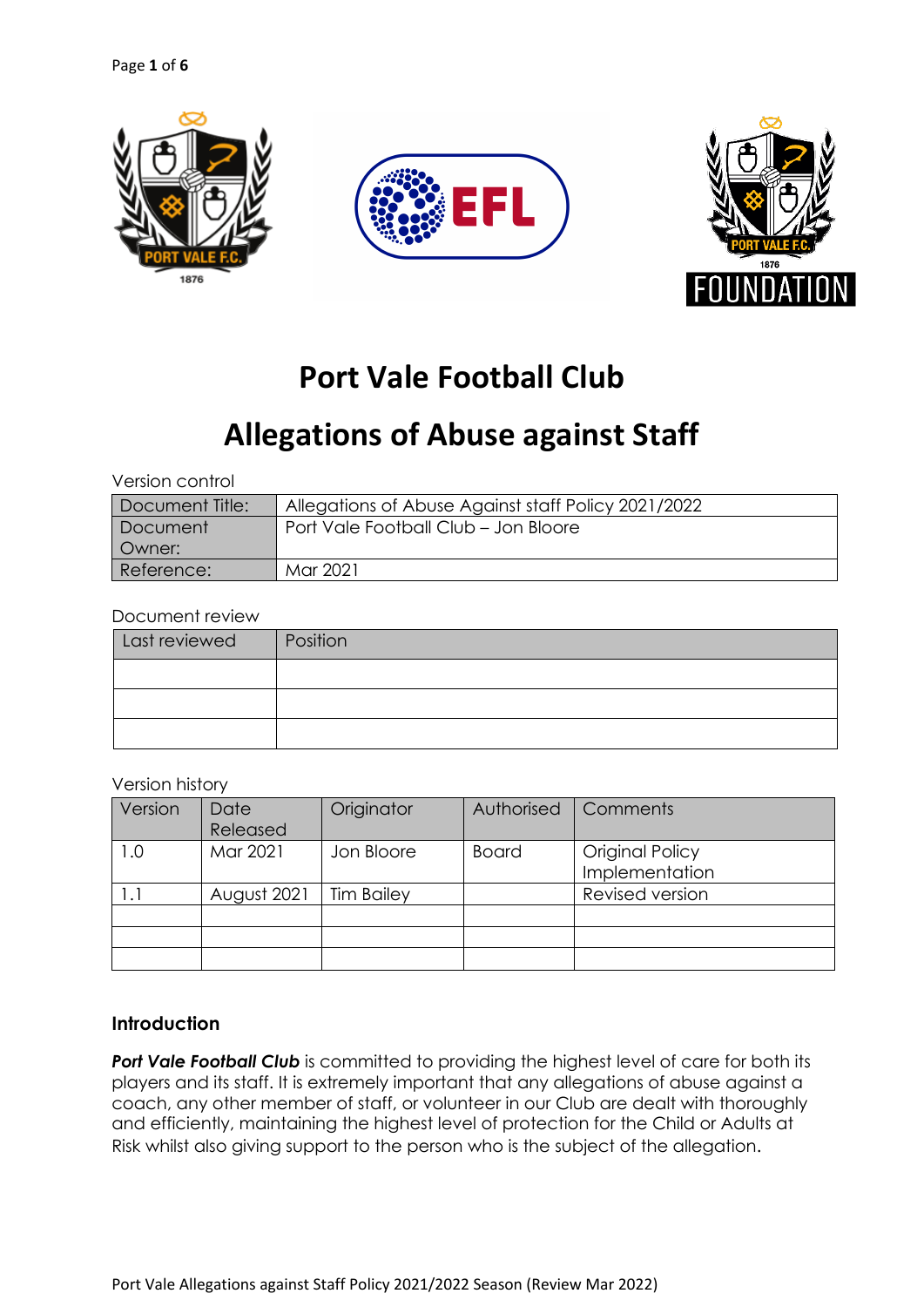

# **Port Vale Football Club**

# **Allegations of Abuse against Staff**

Version control

| Document Title: | Allegations of Abuse Against staff Policy 2021/2022 |
|-----------------|-----------------------------------------------------|
| Document        | Port Vale Football Club - Jon Bloore                |
| Owner:          |                                                     |
| Reference:      | Mar 2021                                            |

#### Document review

| Last reviewed | Position |
|---------------|----------|
|               |          |
|               |          |
|               |          |

#### Version history

| Version      | Date<br>Released | Originator        | Authorised   | Comments                          |
|--------------|------------------|-------------------|--------------|-----------------------------------|
| 0. ا         | Mar 2021         | Jon Bloore        | <b>Board</b> | Original Policy<br>Implementation |
| $\mathsf{L}$ | August 2021      | <b>Tim Bailey</b> |              | Revised version                   |
|              |                  |                   |              |                                   |
|              |                  |                   |              |                                   |
|              |                  |                   |              |                                   |

# **Introduction**

**Port Vale Football Club** is committed to providing the highest level of care for both its players and its staff. It is extremely important that any allegations of abuse against a coach, any other member of staff, or volunteer in our Club are dealt with thoroughly and efficiently, maintaining the highest level of protection for the Child or Adults at Risk whilst also giving support to the person who is the subject of the allegation.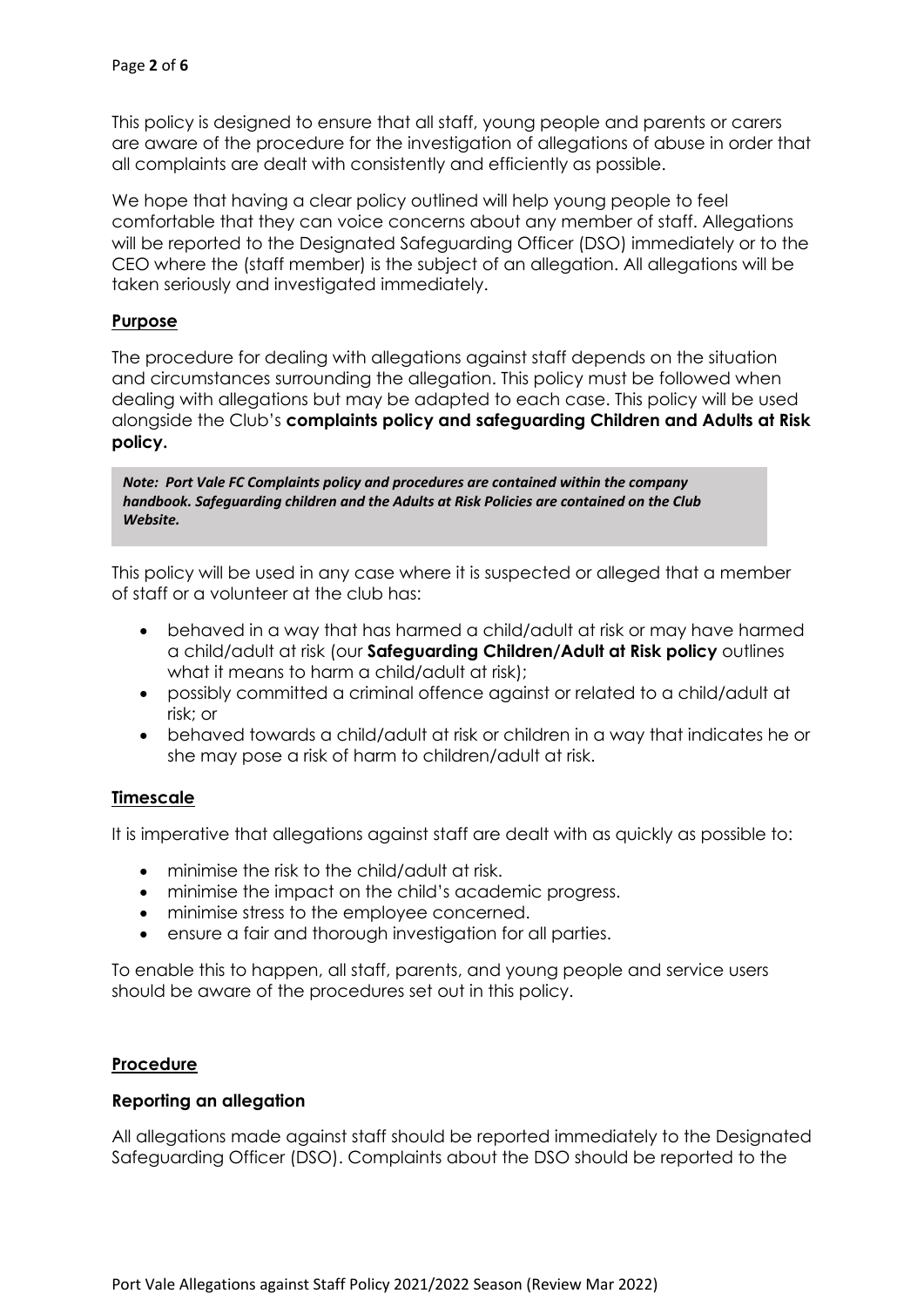This policy is designed to ensure that all staff, young people and parents or carers are aware of the procedure for the investigation of allegations of abuse in order that all complaints are dealt with consistently and efficiently as possible.

We hope that having a clear policy outlined will help young people to feel comfortable that they can voice concerns about any member of staff. Allegations will be reported to the Designated Safeguarding Officer (DSO) immediately or to the CEO where the (staff member) is the subject of an allegation. All allegations will be taken seriously and investigated immediately.

# **Purpose**

The procedure for dealing with allegations against staff depends on the situation and circumstances surrounding the allegation. This policy must be followed when dealing with allegations but may be adapted to each case. This policy will be used alongside the Club's **complaints policy and safeguarding Children and Adults at Risk policy.**

*Note: Port Vale FC Complaints policy and procedures are contained within the company handbook. Safeguarding children and the Adults at Risk Policies are contained on the Club Website.*

This policy will be used in any case where it is suspected or alleged that a member of staff or a volunteer at the club has:

- behaved in a way that has harmed a child/adult at risk or may have harmed a child/adult at risk (our **Safeguarding Children/Adult at Risk policy** outlines what it means to harm a child/adult at risk);
- possibly committed a criminal offence against or related to a child/adult at risk; or
- behaved towards a child/adult at risk or children in a way that indicates he or she may pose a risk of harm to children/adult at risk.

# **Timescale**

It is imperative that allegations against staff are dealt with as quickly as possible to:

- minimise the risk to the child/adult at risk.
- minimise the impact on the child's academic progress.
- minimise stress to the employee concerned.
- ensure a fair and thorough investigation for all parties.

To enable this to happen, all staff, parents, and young people and service users should be aware of the procedures set out in this policy.

## **Procedure**

## **Reporting an allegation**

All allegations made against staff should be reported immediately to the Designated Safeguarding Officer (DSO). Complaints about the DSO should be reported to the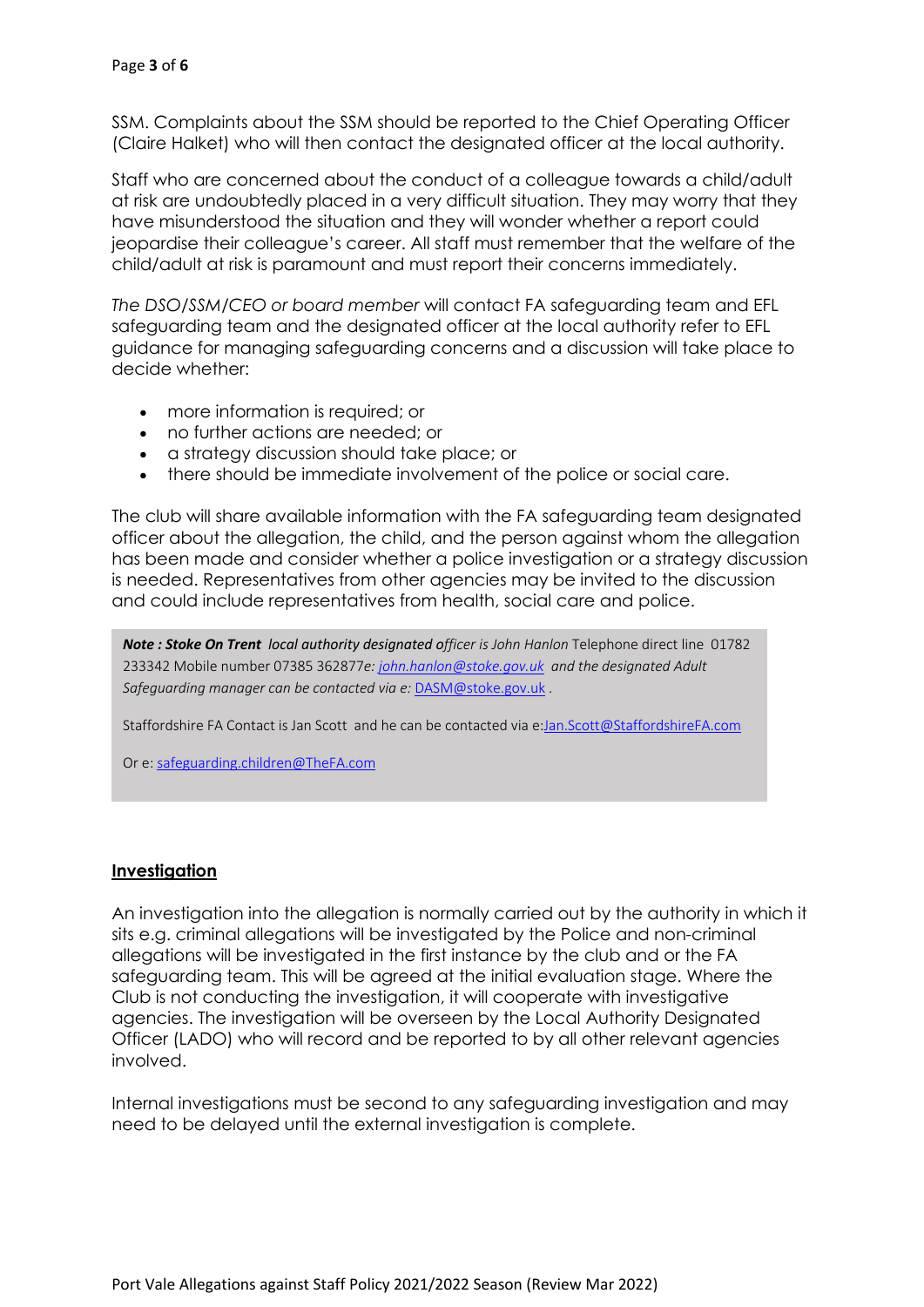SSM. Complaints about the SSM should be reported to the Chief Operating Officer (Claire Halket) who will then contact the designated officer at the local authority.

Staff who are concerned about the conduct of a colleague towards a child/adult at risk are undoubtedly placed in a very difficult situation. They may worry that they have misunderstood the situation and they will wonder whether a report could jeopardise their colleague's career. All staff must remember that the welfare of the child/adult at risk is paramount and must report their concerns immediately.

*The DSO/SSM/CEO or board member* will contact FA safeguarding team and EFL safeguarding team and the designated officer at the local authority refer to EFL guidance for managing safeguarding concerns and a discussion will take place to decide whether:

- more information is required; or
- no further actions are needed; or
- a strategy discussion should take place; or
- there should be immediate involvement of the police or social care.

The club will share available information with the FA safeguarding team designated officer about the allegation, the child, and the person against whom the allegation has been made and consider whether a police investigation or a strategy discussion is needed. Representatives from other agencies may be invited to the discussion and could include representatives from health, social care and police.

*Note : Stoke On Trent local authority designated officer is John Hanlon* Telephone direct line 01782 233342 Mobile number 07385 362877*e: john.hanlon@stoke.gov.uk and the designated Adult Safeguarding manager can be contacted via e:* DASM@stoke.gov.uk .

Staffordshire FA Contact is Jan Scott and he can be contacted via e:Jan.Scott@StaffordshireFA.com

Or e: safeguarding.children@TheFA.com

## **Investigation**

An investigation into the allegation is normally carried out by the authority in which it sits e.g. criminal allegations will be investigated by the Police and non-criminal allegations will be investigated in the first instance by the club and or the FA safeguarding team. This will be agreed at the initial evaluation stage. Where the Club is not conducting the investigation, it will cooperate with investigative agencies. The investigation will be overseen by the Local Authority Designated Officer (LADO) who will record and be reported to by all other relevant agencies involved.

Internal investigations must be second to any safeguarding investigation and may need to be delayed until the external investigation is complete.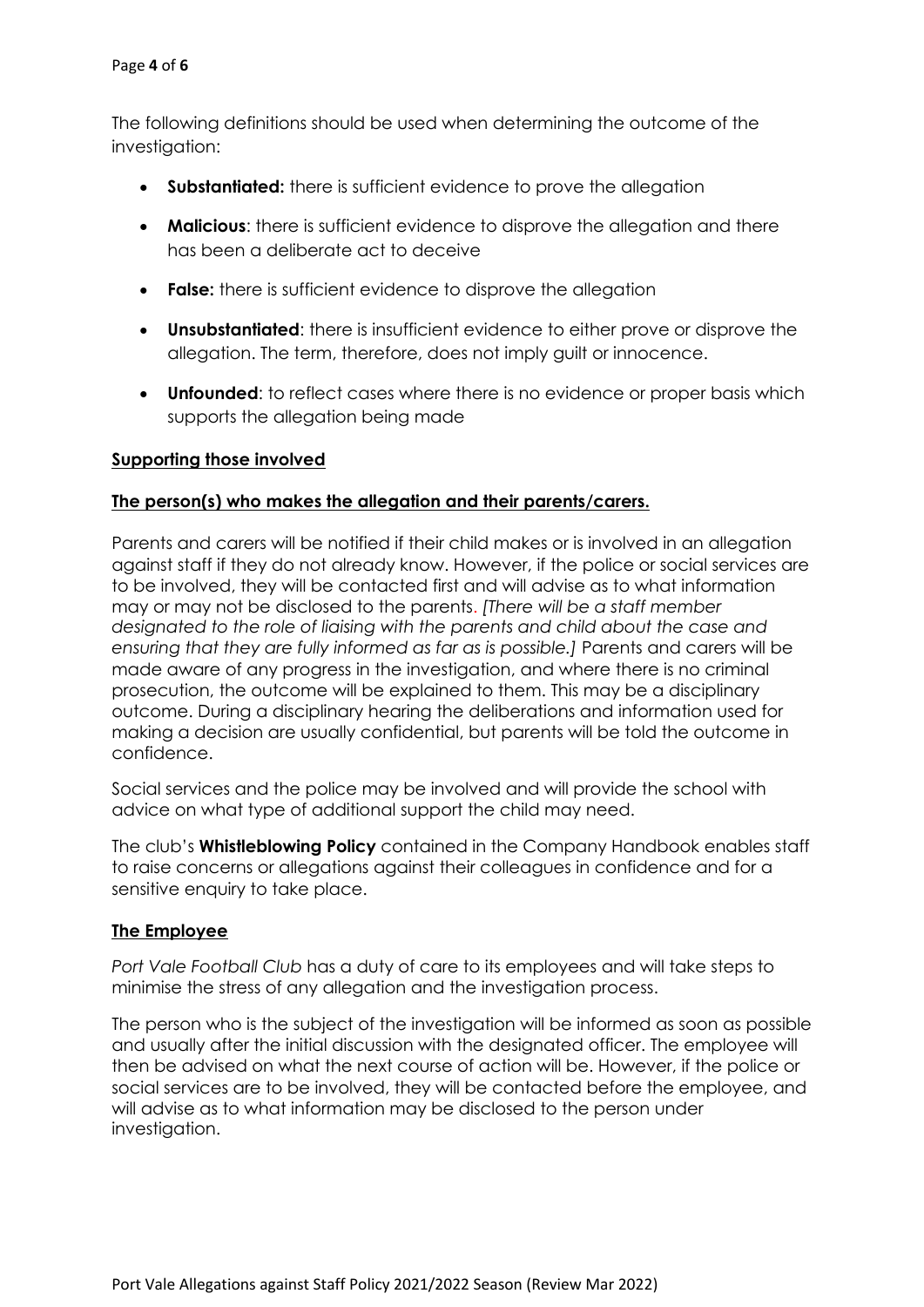The following definitions should be used when determining the outcome of the investigation:

- **Substantiated:** there is sufficient evidence to prove the allegation
- **Malicious**: there is sufficient evidence to disprove the allegation and there has been a deliberate act to deceive
- **False:** there is sufficient evidence to disprove the allegation
- **Unsubstantiated**: there is insufficient evidence to either prove or disprove the allegation. The term, therefore, does not imply guilt or innocence.
- **Unfounded**: to reflect cases where there is no evidence or proper basis which supports the allegation being made

# **Supporting those involved**

# **The person(s) who makes the allegation and their parents/carers.**

Parents and carers will be notified if their child makes or is involved in an allegation against staff if they do not already know. However, if the police or social services are to be involved, they will be contacted first and will advise as to what information may or may not be disclosed to the parents. *[There will be a staff member designated to the role of liaising with the parents and child about the case and ensuring that they are fully informed as far as is possible.]* Parents and carers will be made aware of any progress in the investigation, and where there is no criminal prosecution, the outcome will be explained to them. This may be a disciplinary outcome. During a disciplinary hearing the deliberations and information used for making a decision are usually confidential, but parents will be told the outcome in confidence.

Social services and the police may be involved and will provide the school with advice on what type of additional support the child may need.

The club's **Whistleblowing Policy** contained in the Company Handbook enables staff to raise concerns or allegations against their colleagues in confidence and for a sensitive enquiry to take place.

## **The Employee**

*Port Vale Football Club* has a duty of care to its employees and will take steps to minimise the stress of any allegation and the investigation process.

The person who is the subject of the investigation will be informed as soon as possible and usually after the initial discussion with the designated officer. The employee will then be advised on what the next course of action will be. However, if the police or social services are to be involved, they will be contacted before the employee, and will advise as to what information may be disclosed to the person under investigation.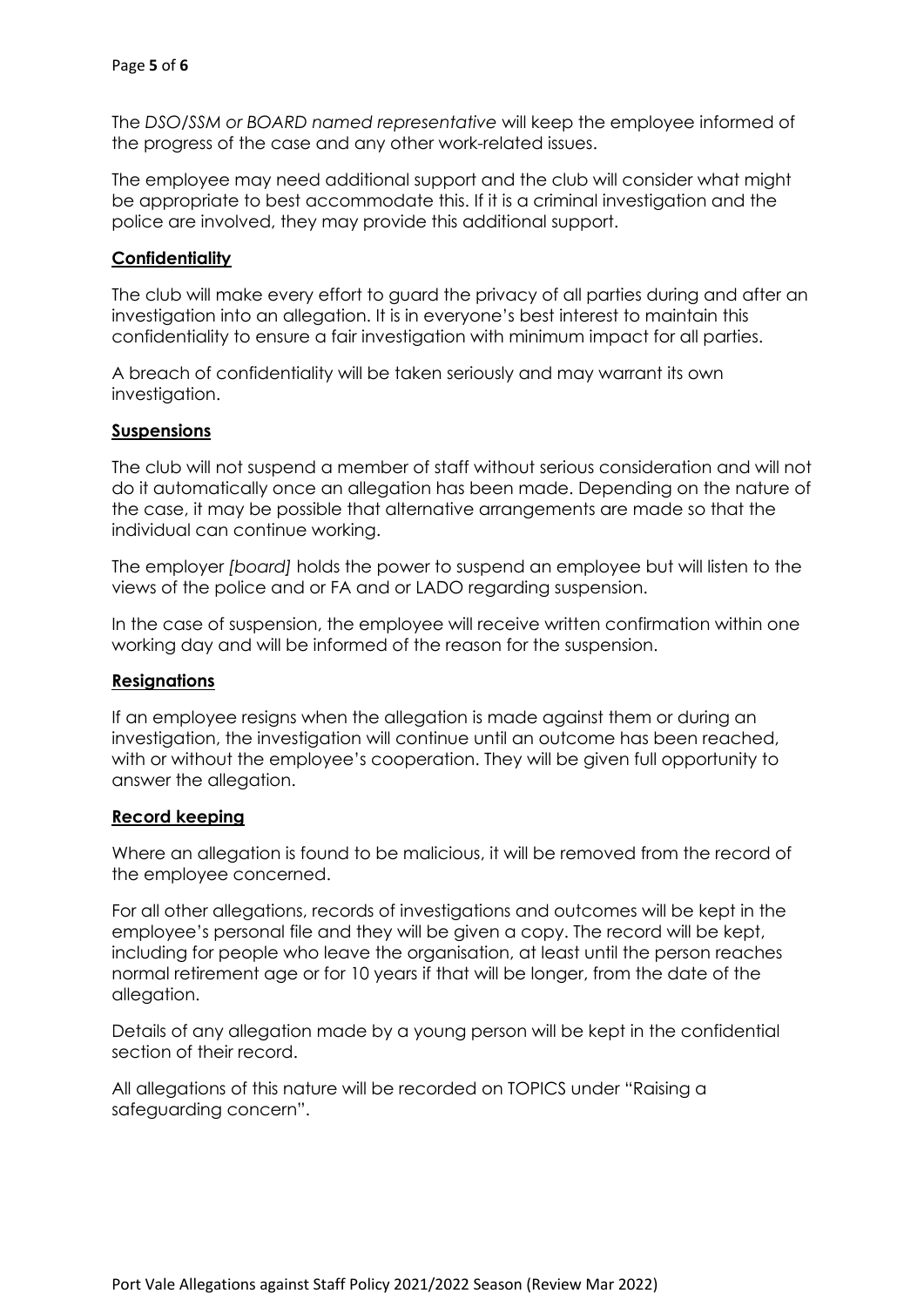The *DSO/SSM or BOARD named representative* will keep the employee informed of the progress of the case and any other work-related issues.

The employee may need additional support and the club will consider what might be appropriate to best accommodate this. If it is a criminal investigation and the police are involved, they may provide this additional support.

# **Confidentiality**

The club will make every effort to guard the privacy of all parties during and after an investigation into an allegation. It is in everyone's best interest to maintain this confidentiality to ensure a fair investigation with minimum impact for all parties.

A breach of confidentiality will be taken seriously and may warrant its own investigation.

## **Suspensions**

The club will not suspend a member of staff without serious consideration and will not do it automatically once an allegation has been made. Depending on the nature of the case, it may be possible that alternative arrangements are made so that the individual can continue working.

The employer *[board]* holds the power to suspend an employee but will listen to the views of the police and or FA and or LADO regarding suspension.

In the case of suspension, the employee will receive written confirmation within one working day and will be informed of the reason for the suspension.

## **Resignations**

If an employee resigns when the allegation is made against them or during an investigation, the investigation will continue until an outcome has been reached, with or without the employee's cooperation. They will be given full opportunity to answer the allegation.

## **Record keeping**

Where an allegation is found to be malicious, it will be removed from the record of the employee concerned.

For all other allegations, records of investigations and outcomes will be kept in the employee's personal file and they will be given a copy. The record will be kept, including for people who leave the organisation, at least until the person reaches normal retirement age or for 10 years if that will be longer, from the date of the allegation.

Details of any allegation made by a young person will be kept in the confidential section of their record.

All allegations of this nature will be recorded on TOPICS under "Raising a safeguarding concern".